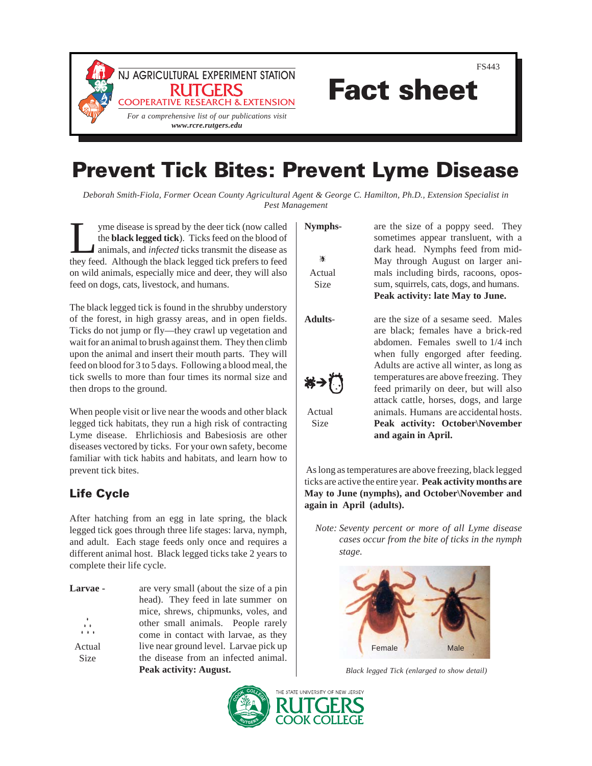



Fact sheet

# Prevent Tick Bites: Prevent Lyme Disease

*Deborah Smith-Fiola, Former Ocean County Agricultural Agent & George C. Hamilton, Ph.D., Extension Specialist in Pest Management*

If yme disease is spread by the deer tick (now called<br>the **black legged tick**). Ticks feed on the blood of<br>animals, and *infected* ticks transmit the disease as<br>they feed. Although the black legged tick prefers to feed the **black legged tick**). Ticks feed on the blood of animals, and *infected* ticks transmit the disease as they feed. Although the black legged tick prefers to feed on wild animals, especially mice and deer, they will also feed on dogs, cats, livestock, and humans.

The black legged tick is found in the shrubby understory of the forest, in high grassy areas, and in open fields. Ticks do not jump or fly—they crawl up vegetation and wait for an animal to brush against them. They then climb upon the animal and insert their mouth parts. They will feed on blood for 3 to 5 days. Following a blood meal, the tick swells to more than four times its normal size and then drops to the ground.

When people visit or live near the woods and other black legged tick habitats, they run a high risk of contracting Lyme disease. Ehrlichiosis and Babesiosis are other diseases vectored by ticks. For your own safety, become familiar with tick habits and habitats, and learn how to prevent tick bites.

# Life Cycle

After hatching from an egg in late spring, the black legged tick goes through three life stages: larva, nymph, and adult. Each stage feeds only once and requires a different animal host. Black legged ticks take 2 years to complete their life cycle.

| <b>Larvae -</b>                      | are very small (about the size of a pin |
|--------------------------------------|-----------------------------------------|
|                                      | head). They feed in late summer on      |
|                                      | mice, shrews, chipmunks, voles, and     |
| $\ddot{\bullet}$<br>$\ddot{\bullet}$ | other small animals. People rarely      |
| $\cdots$                             | come in contact with larvae, as they    |
| Actual                               | live near ground level. Larvae pick up  |
| <b>Size</b>                          | the disease from an infected animal.    |
|                                      | Peak activity: August.                  |

滽 Actual Size

**Nymphs-** are the size of a poppy seed. They sometimes appear transluent, with a dark head. Nymphs feed from mid-May through August on larger animals including birds, racoons, opossum, squirrels, cats, dogs, and humans. **Peak activity: late May to June.**



Actual Size

**Adults**- are the size of a sesame seed. Males are black; females have a brick-red abdomen. Females swell to 1/4 inch when fully engorged after feeding. Adults are active all winter, as long as temperatures are above freezing. They feed primarily on deer, but will also attack cattle, horses, dogs, and large animals. Humans are accidental hosts. **Peak activity: October\November and again in April.**

 As long as temperatures are above freezing, black legged ticks are active the entire year. **Peak activity months are May to June (nymphs), and October\November and again in April (adults).**

*Note: Seventy percent or more of all Lyme disease cases occur from the bite of ticks in the nymph stage.*



*Black legged Tick (enlarged to show detail)*

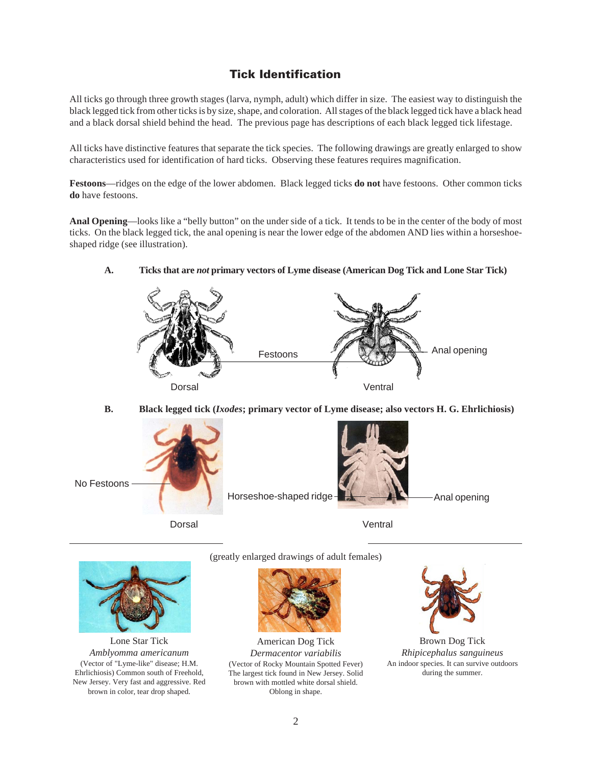# Tick Identification

All ticks go through three growth stages (larva, nymph, adult) which differ in size. The easiest way to distinguish the black legged tick from other ticks is by size, shape, and coloration. All stages of the black legged tick have a black head and a black dorsal shield behind the head. The previous page has descriptions of each black legged tick lifestage.

All ticks have distinctive features that separate the tick species. The following drawings are greatly enlarged to show characteristics used for identification of hard ticks. Observing these features requires magnification.

**Festoons**—ridges on the edge of the lower abdomen. Black legged ticks **do not** have festoons. Other common ticks **do** have festoons.

**Anal Opening**—looks like a "belly button" on the under side of a tick. It tends to be in the center of the body of most ticks. On the black legged tick, the anal opening is near the lower edge of the abdomen AND lies within a horseshoeshaped ridge (see illustration).

#### **A. Ticks that are** *not* **primary vectors of Lyme disease (American Dog Tick and Lone Star Tick)**



**B. Black legged tick (***Ixodes***; primary vector of Lyme disease; also vectors H. G. Ehrlichiosis)**





Lone Star Tick *Amblyomma americanum* (Vector of "Lyme-like" disease; H.M. Ehrlichiosis) Common south of Freehold, New Jersey. Very fast and aggressive. Red brown in color, tear drop shaped.

(greatly enlarged drawings of adult females)



American Dog Tick *Dermacentor variabilis* (Vector of Rocky Mountain Spotted Fever) The largest tick found in New Jersey. Solid brown with mottled white dorsal shield. Oblong in shape.



Brown Dog Tick *Rhipicephalus sanguineus* An indoor species. It can survive outdoors during the summer.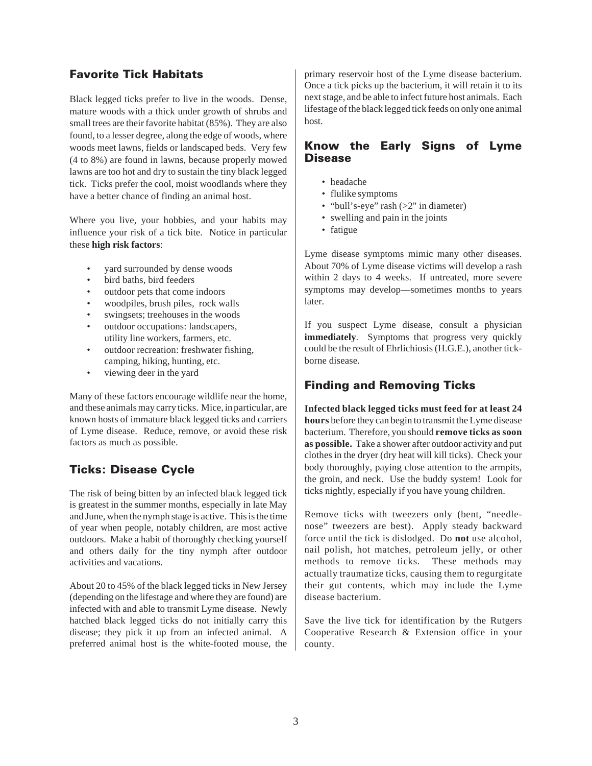## Favorite Tick Habitats

Black legged ticks prefer to live in the woods. Dense, mature woods with a thick under growth of shrubs and small trees are their favorite habitat (85%). They are also found, to a lesser degree, along the edge of woods, where woods meet lawns, fields or landscaped beds. Very few (4 to 8%) are found in lawns, because properly mowed lawns are too hot and dry to sustain the tiny black legged tick. Ticks prefer the cool, moist woodlands where they have a better chance of finding an animal host.

Where you live, your hobbies, and your habits may influence your risk of a tick bite. Notice in particular these **high risk factors**:

- yard surrounded by dense woods
- bird baths, bird feeders
- outdoor pets that come indoors
- woodpiles, brush piles, rock walls
- swingsets; treehouses in the woods
- outdoor occupations: landscapers, utility line workers, farmers, etc.
- outdoor recreation: freshwater fishing, camping, hiking, hunting, etc.
- viewing deer in the yard

Many of these factors encourage wildlife near the home, and these animals may carry ticks. Mice, in particular, are known hosts of immature black legged ticks and carriers of Lyme disease. Reduce, remove, or avoid these risk factors as much as possible.

# Ticks: Disease Cycle

The risk of being bitten by an infected black legged tick is greatest in the summer months, especially in late May and June, when the nymph stage is active. This is the time of year when people, notably children, are most active outdoors. Make a habit of thoroughly checking yourself and others daily for the tiny nymph after outdoor activities and vacations.

About 20 to 45% of the black legged ticks in New Jersey (depending on the lifestage and where they are found) are infected with and able to transmit Lyme disease. Newly hatched black legged ticks do not initially carry this disease; they pick it up from an infected animal. A preferred animal host is the white-footed mouse, the primary reservoir host of the Lyme disease bacterium. Once a tick picks up the bacterium, it will retain it to its next stage, and be able to infect future host animals. Each lifestage of the black legged tick feeds on only one animal host.

#### Know the Early Signs of Lyme **Disease**

- headache
- flulike symptoms
- "bull's-eye" rash (>2" in diameter)
- swelling and pain in the joints
- fatigue

Lyme disease symptoms mimic many other diseases. About 70% of Lyme disease victims will develop a rash within 2 days to 4 weeks. If untreated, more severe symptoms may develop—sometimes months to years later.

If you suspect Lyme disease, consult a physician **immediately**. Symptoms that progress very quickly could be the result of Ehrlichiosis (H.G.E.), another tickborne disease.

# Finding and Removing Ticks

**Infected black legged ticks must feed for at least 24 hours** before they can begin to transmit the Lyme disease bacterium. Therefore, you should **remove ticks as soon as possible.** Take a shower after outdoor activity and put clothes in the dryer (dry heat will kill ticks). Check your body thoroughly, paying close attention to the armpits, the groin, and neck. Use the buddy system! Look for ticks nightly, especially if you have young children.

Remove ticks with tweezers only (bent, "needlenose" tweezers are best). Apply steady backward force until the tick is dislodged. Do **not** use alcohol, nail polish, hot matches, petroleum jelly, or other methods to remove ticks. These methods may actually traumatize ticks, causing them to regurgitate their gut contents, which may include the Lyme disease bacterium.

Save the live tick for identification by the Rutgers Cooperative Research & Extension office in your county.